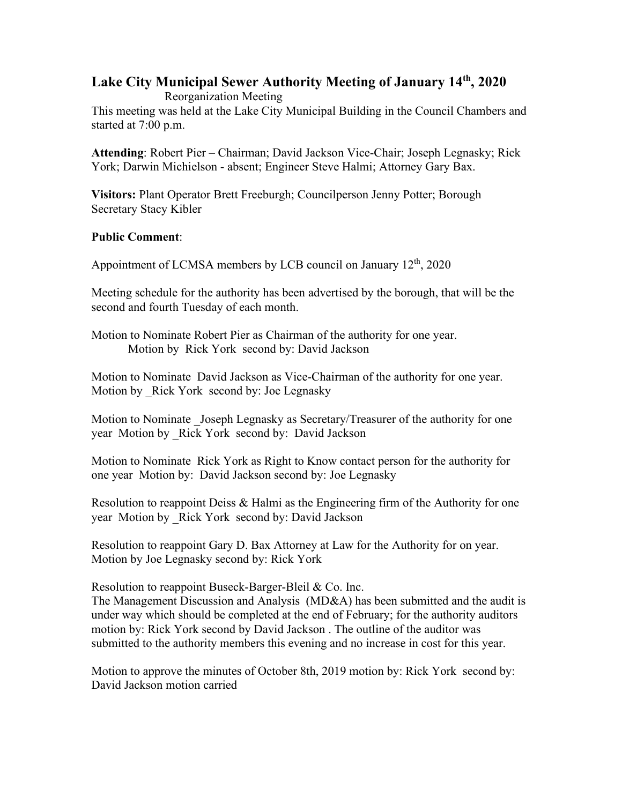## **Lake City Municipal Sewer Authority Meeting of January 14th, 2020**

Reorganization Meeting

This meeting was held at the Lake City Municipal Building in the Council Chambers and started at 7:00 p.m.

**Attending**: Robert Pier – Chairman; David Jackson Vice-Chair; Joseph Legnasky; Rick York; Darwin Michielson - absent; Engineer Steve Halmi; Attorney Gary Bax.

**Visitors:** Plant Operator Brett Freeburgh; Councilperson Jenny Potter; Borough Secretary Stacy Kibler

## **Public Comment**:

Appointment of LCMSA members by LCB council on January  $12<sup>th</sup>$ , 2020

Meeting schedule for the authority has been advertised by the borough, that will be the second and fourth Tuesday of each month.

Motion to Nominate Robert Pier as Chairman of the authority for one year. Motion by Rick York second by: David Jackson

Motion to Nominate David Jackson as Vice-Chairman of the authority for one year. Motion by Rick York second by: Joe Legnasky

Motion to Nominate Joseph Legnasky as Secretary/Treasurer of the authority for one year Motion by Rick York second by: David Jackson

Motion to Nominate Rick York as Right to Know contact person for the authority for one year Motion by: David Jackson second by: Joe Legnasky

Resolution to reappoint Deiss & Halmi as the Engineering firm of the Authority for one year Motion by Rick York second by: David Jackson

Resolution to reappoint Gary D. Bax Attorney at Law for the Authority for on year. Motion by Joe Legnasky second by: Rick York

Resolution to reappoint Buseck-Barger-Bleil & Co. Inc.

The Management Discussion and Analysis (MD&A) has been submitted and the audit is under way which should be completed at the end of February; for the authority auditors motion by: Rick York second by David Jackson . The outline of the auditor was submitted to the authority members this evening and no increase in cost for this year.

Motion to approve the minutes of October 8th, 2019 motion by: Rick York second by: David Jackson motion carried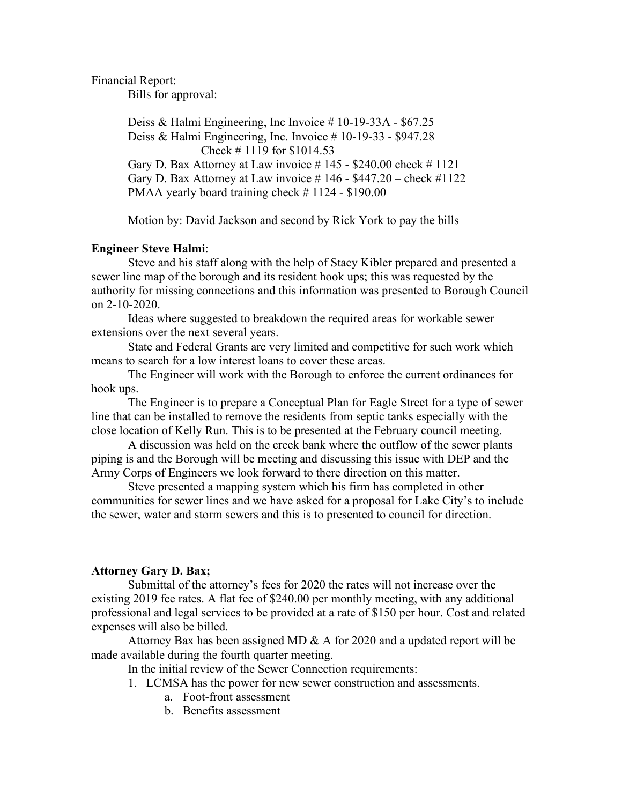Financial Report:

Bills for approval:

Deiss & Halmi Engineering, Inc Invoice # 10-19-33A - \$67.25 Deiss & Halmi Engineering, Inc. Invoice # 10-19-33 - \$947.28 Check # 1119 for \$1014.53 Gary D. Bax Attorney at Law invoice  $\#$  145 - \$240.00 check  $\#$  1121 Gary D. Bax Attorney at Law invoice  $\# 146 - $447.20 - check \#1122$ PMAA yearly board training check #1124 - \$190.00

Motion by: David Jackson and second by Rick York to pay the bills

## **Engineer Steve Halmi**:

Steve and his staff along with the help of Stacy Kibler prepared and presented a sewer line map of the borough and its resident hook ups; this was requested by the authority for missing connections and this information was presented to Borough Council on 2-10-2020.

Ideas where suggested to breakdown the required areas for workable sewer extensions over the next several years.

State and Federal Grants are very limited and competitive for such work which means to search for a low interest loans to cover these areas.

The Engineer will work with the Borough to enforce the current ordinances for hook ups.

The Engineer is to prepare a Conceptual Plan for Eagle Street for a type of sewer line that can be installed to remove the residents from septic tanks especially with the close location of Kelly Run. This is to be presented at the February council meeting.

A discussion was held on the creek bank where the outflow of the sewer plants piping is and the Borough will be meeting and discussing this issue with DEP and the Army Corps of Engineers we look forward to there direction on this matter.

Steve presented a mapping system which his firm has completed in other communities for sewer lines and we have asked for a proposal for Lake City's to include the sewer, water and storm sewers and this is to presented to council for direction.

## **Attorney Gary D. Bax;**

Submittal of the attorney's fees for 2020 the rates will not increase over the existing 2019 fee rates. A flat fee of \$240.00 per monthly meeting, with any additional professional and legal services to be provided at a rate of \$150 per hour. Cost and related expenses will also be billed.

Attorney Bax has been assigned MD  $\&$  A for 2020 and a updated report will be made available during the fourth quarter meeting.

In the initial review of the Sewer Connection requirements:

1. LCMSA has the power for new sewer construction and assessments.

- a. Foot-front assessment
- b. Benefits assessment